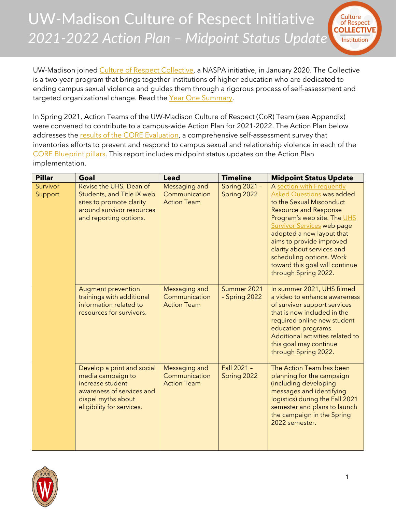UW-Madison Culture of Respect Initiative *2021-2022 Action Plan – Midpoint Status Update*



UW-Madison joined [Culture of Respect Collective,](https://cultureofrespect.org/programs-and-tools/the-collective/) a NASPA initiative, in January 2020. The Collective is a two-year program that brings together institutions of higher education who are dedicated to ending campus sexual violence and guides them through a rigorous process of self-assessment and targeted organizational change. Read the Year [One Summary.](https://www.uhs.wisc.edu/wp-content/uploads/2021/02/UW-Madison-Culture-of-Respect-Initiative_Year-One-Summary.pdf)

In Spring 2021, Action Teams of the UW-Madison Culture of Respect (CoR) Team (see Appendix) were convened to contribute to a campus-wide Action Plan for 2021-2022. The Action Plan below addresses the [results of the CORE Evaluation,](https://www.uhs.wisc.edu/wp-content/uploads/2020/11/Baseline-Results-Summary-reduced-file-size.pdf) a comprehensive self-assessment survey that inventories efforts to prevent and respond to campus sexual and relationship violence in each of the [CORE Blueprint pillars.](https://cultureofrespect.org/programs-and-tools/signature-tools/) This report includes midpoint status updates on the Action Plan implementation.

| <b>Pillar</b>       | Goal                                                                                                                                                | <b>Lead</b>                                          | <b>Timeline</b>                     | <b>Midpoint Status Update</b>                                                                                                                                                                                                                                                                                                                                              |
|---------------------|-----------------------------------------------------------------------------------------------------------------------------------------------------|------------------------------------------------------|-------------------------------------|----------------------------------------------------------------------------------------------------------------------------------------------------------------------------------------------------------------------------------------------------------------------------------------------------------------------------------------------------------------------------|
| Survivor<br>Support | Revise the UHS, Dean of<br>Students, and Title IX web<br>sites to promote clarity<br>around survivor resources<br>and reporting options.            | Messaging and<br>Communication<br><b>Action Team</b> | <b>Spring 2021 -</b><br>Spring 2022 | A section with Frequently<br><b>Asked Questions was added</b><br>to the Sexual Misconduct<br><b>Resource and Response</b><br>Program's web site. The UHS<br><b>Survivor Services web page</b><br>adopted a new layout that<br>aims to provide improved<br>clarity about services and<br>scheduling options. Work<br>toward this goal will continue<br>through Spring 2022. |
|                     | <b>Augment prevention</b><br>trainings with additional<br>information related to<br>resources for survivors.                                        | Messaging and<br>Communication<br><b>Action Team</b> | Summer 2021<br>- Spring 2022        | In summer 2021, UHS filmed<br>a video to enhance awareness<br>of survivor support services<br>that is now included in the<br>required online new student<br>education programs.<br>Additional activities related to<br>this goal may continue<br>through Spring 2022.                                                                                                      |
|                     | Develop a print and social<br>media campaign to<br>increase student<br>awareness of services and<br>dispel myths about<br>eligibility for services. | Messaging and<br>Communication<br><b>Action Team</b> | Fall 2021 -<br>Spring 2022          | The Action Team has been<br>planning for the campaign<br>(including developing<br>messages and identifying<br>logistics) during the Fall 2021<br>semester and plans to launch<br>the campaign in the Spring<br>2022 semester.                                                                                                                                              |

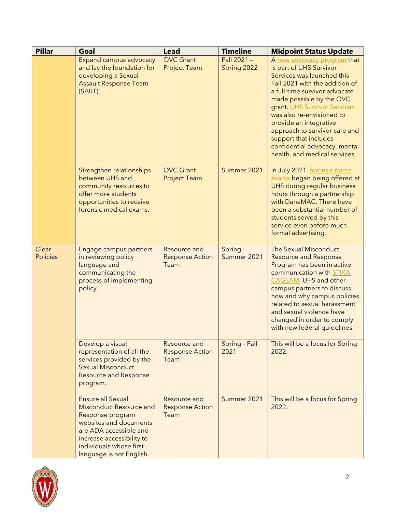| <b>Pillar</b>            | Goal                                                                                                                                                                                                            | <b>Lead</b>                                    | <b>Timeline</b>            | <b>Midpoint Status Update</b>                                                                                                                                                                                                                                                                                                                                                                          |
|--------------------------|-----------------------------------------------------------------------------------------------------------------------------------------------------------------------------------------------------------------|------------------------------------------------|----------------------------|--------------------------------------------------------------------------------------------------------------------------------------------------------------------------------------------------------------------------------------------------------------------------------------------------------------------------------------------------------------------------------------------------------|
|                          | Expand campus advocacy<br>and lay the foundation for<br>developing a Sexual<br><b>Assault Response Team</b><br>(SART).                                                                                          | <b>OVC Grant</b><br><b>Project Team</b>        | Fall 2021 -<br>Spring 2022 | A new advocacy program that<br>is part of UHS Survivor<br>Services was launched this<br>Fall 2021 with the addition of<br>a full-time survivor advocate<br>made possible by the OVC<br>grant. UHS Survivor Services<br>was also re-envisioned to<br>provide an integrative<br>approach to survivor care and<br>support that includes<br>confidential advocacy, mental<br>health, and medical services. |
|                          | Strengthen relationships<br>between UHS and<br>community resources to<br>offer more students<br>opportunities to receive<br>forensic medical exams.                                                             | <b>OVC Grant</b><br><b>Project Team</b>        | Summer 2021                | In July 2021, forensic nurse<br>exams began being offered at<br>UHS during regular business<br>hours through a partnership<br>with DaneMAC. There have<br>been a substantial number of<br>students served by this<br>service even before much<br>formal advertising.                                                                                                                                   |
| Clear<br><b>Policies</b> | Engage campus partners<br>in reviewing policy<br>language and<br>communicating the<br>process of implementing<br>policy.                                                                                        | Resource and<br><b>Response Action</b><br>Team | Spring -<br>Summer 2021    | The Sexual Misconduct<br><b>Resource and Response</b><br>Program has been in active<br>communication with STIXA,<br>CAGSAM, UHS and other<br>campus partners to discuss<br>how and why campus policies<br>related to sexual harassment<br>and sexual violence have<br>changed in order to comply<br>with new federal guidelines.                                                                       |
|                          | Develop a visual<br>representation of all the<br>services provided by the<br><b>Sexual Misconduct</b><br><b>Resource and Response</b><br>program.                                                               | Resource and<br><b>Response Action</b><br>Team | Spring - Fall<br>2021      | This will be a focus for Spring<br>2022.                                                                                                                                                                                                                                                                                                                                                               |
|                          | <b>Ensure all Sexual</b><br>Misconduct Resource and<br>Response program<br>websites and documents<br>are ADA accessible and<br>increase accessibility to<br>individuals whose first<br>language is not English. | Resource and<br><b>Response Action</b><br>Team | Summer 2021                | This will be a focus for Spring<br>2022.                                                                                                                                                                                                                                                                                                                                                               |

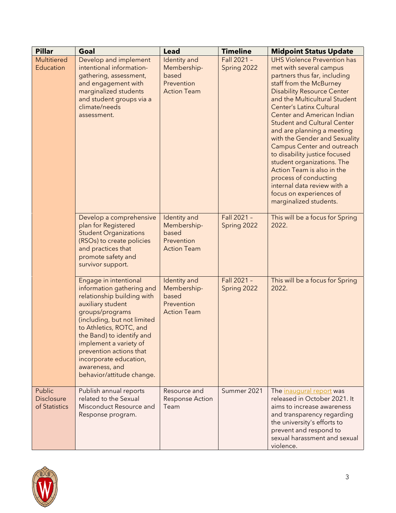| <b>Pillar</b>                                | Goal                                                                                                                                                                                                                                                                                                                                          | <b>Lead</b>                                                              | <b>Timeline</b>            | <b>Midpoint Status Update</b>                                                                                                                                                                                                                                                                                                                                                                                                                                                                                                                                                                                              |
|----------------------------------------------|-----------------------------------------------------------------------------------------------------------------------------------------------------------------------------------------------------------------------------------------------------------------------------------------------------------------------------------------------|--------------------------------------------------------------------------|----------------------------|----------------------------------------------------------------------------------------------------------------------------------------------------------------------------------------------------------------------------------------------------------------------------------------------------------------------------------------------------------------------------------------------------------------------------------------------------------------------------------------------------------------------------------------------------------------------------------------------------------------------------|
| <b>Multitiered</b><br>Education              | Develop and implement<br>intentional information-<br>gathering, assessment,<br>and engagement with<br>marginalized students<br>and student groups via a<br>climate/needs<br>assessment.                                                                                                                                                       | Identity and<br>Membership-<br>based<br>Prevention<br><b>Action Team</b> | Fall 2021 -<br>Spring 2022 | <b>UHS Violence Prevention has</b><br>met with several campus<br>partners thus far, including<br>staff from the McBurney<br><b>Disability Resource Center</b><br>and the Multicultural Student<br><b>Center's Latinx Cultural</b><br><b>Center and American Indian</b><br><b>Student and Cultural Center</b><br>and are planning a meeting<br>with the Gender and Sexuality<br><b>Campus Center and outreach</b><br>to disability justice focused<br>student organizations. The<br>Action Team is also in the<br>process of conducting<br>internal data review with a<br>focus on experiences of<br>marginalized students. |
|                                              | Develop a comprehensive<br>plan for Registered<br><b>Student Organizations</b><br>(RSOs) to create policies<br>and practices that<br>promote safety and<br>survivor support.                                                                                                                                                                  | Identity and<br>Membership-<br>based<br>Prevention<br><b>Action Team</b> | Fall 2021 -<br>Spring 2022 | This will be a focus for Spring<br>2022.                                                                                                                                                                                                                                                                                                                                                                                                                                                                                                                                                                                   |
|                                              | Engage in intentional<br>information gathering and<br>relationship building with<br>auxiliary student<br>groups/programs<br>(including, but not limited<br>to Athletics, ROTC, and<br>the Band) to identify and<br>implement a variety of<br>prevention actions that<br>incorporate education,<br>awareness, and<br>behavior/attitude change. | Identity and<br>Membership-<br>based<br>Prevention<br><b>Action Team</b> | Fall 2021 -<br>Spring 2022 | This will be a focus for Spring<br>2022.                                                                                                                                                                                                                                                                                                                                                                                                                                                                                                                                                                                   |
| Public<br><b>Disclosure</b><br>of Statistics | Publish annual reports<br>related to the Sexual<br>Misconduct Resource and<br>Response program.                                                                                                                                                                                                                                               | Resource and<br><b>Response Action</b><br>Team                           | Summer 2021                | The inaugural report was<br>released in October 2021. It<br>aims to increase awareness<br>and transparency regarding<br>the university's efforts to<br>prevent and respond to<br>sexual harassment and sexual<br>violence.                                                                                                                                                                                                                                                                                                                                                                                                 |

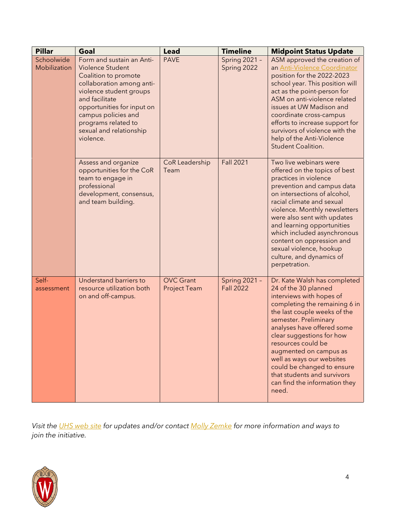| <b>Pillar</b>              | Goal                                                                                                                                                                                                                                                                | <b>Lead</b>                             | <b>Timeline</b>                          | <b>Midpoint Status Update</b>                                                                                                                                                                                                                                                                                                                                                                                             |
|----------------------------|---------------------------------------------------------------------------------------------------------------------------------------------------------------------------------------------------------------------------------------------------------------------|-----------------------------------------|------------------------------------------|---------------------------------------------------------------------------------------------------------------------------------------------------------------------------------------------------------------------------------------------------------------------------------------------------------------------------------------------------------------------------------------------------------------------------|
| Schoolwide<br>Mobilization | Form and sustain an Anti-<br>Violence Student<br>Coalition to promote<br>collaboration among anti-<br>violence student groups<br>and facilitate<br>opportunities for input on<br>campus policies and<br>programs related to<br>sexual and relationship<br>violence. | <b>PAVE</b>                             | Spring 2021 -<br>Spring 2022             | ASM approved the creation of<br>an Anti-Violence Coordinator<br>position for the 2022-2023<br>school year. This position will<br>act as the point-person for<br>ASM on anti-violence related<br>issues at UW Madison and<br>coordinate cross-campus<br>efforts to increase support for<br>survivors of violence with the<br>help of the Anti-Violence<br><b>Student Coalition.</b>                                        |
|                            | Assess and organize<br>opportunities for the CoR<br>team to engage in<br>professional<br>development, consensus,<br>and team building.                                                                                                                              | CoR Leadership<br>Team                  | <b>Fall 2021</b>                         | Two live webinars were<br>offered on the topics of best<br>practices in violence<br>prevention and campus data<br>on intersections of alcohol,<br>racial climate and sexual<br>violence. Monthly newsletters<br>were also sent with updates<br>and learning opportunities<br>which included asynchronous<br>content on oppression and<br>sexual violence, hookup<br>culture, and dynamics of<br>perpetration.             |
| Self-<br>assessment        | Understand barriers to<br>resource utilization both<br>on and off-campus.                                                                                                                                                                                           | <b>OVC</b> Grant<br><b>Project Team</b> | <b>Spring 2021 -</b><br><b>Fall 2022</b> | Dr. Kate Walsh has completed<br>24 of the 30 planned<br>interviews with hopes of<br>completing the remaining 6 in<br>the last couple weeks of the<br>semester. Preliminary<br>analyses have offered some<br>clear suggestions for how<br>resources could be<br>augmented on campus as<br>well as ways our websites<br>could be changed to ensure<br>that students and survivors<br>can find the information they<br>need. |

*Visit the [UHS web site](https://www.uhs.wisc.edu/prevention/violence-prevention/culture-of-respect/) for updates and/or contact [Molly Zemke](mailto:molly.zemke@wisc.edu) for more information and ways to join the initiative.*